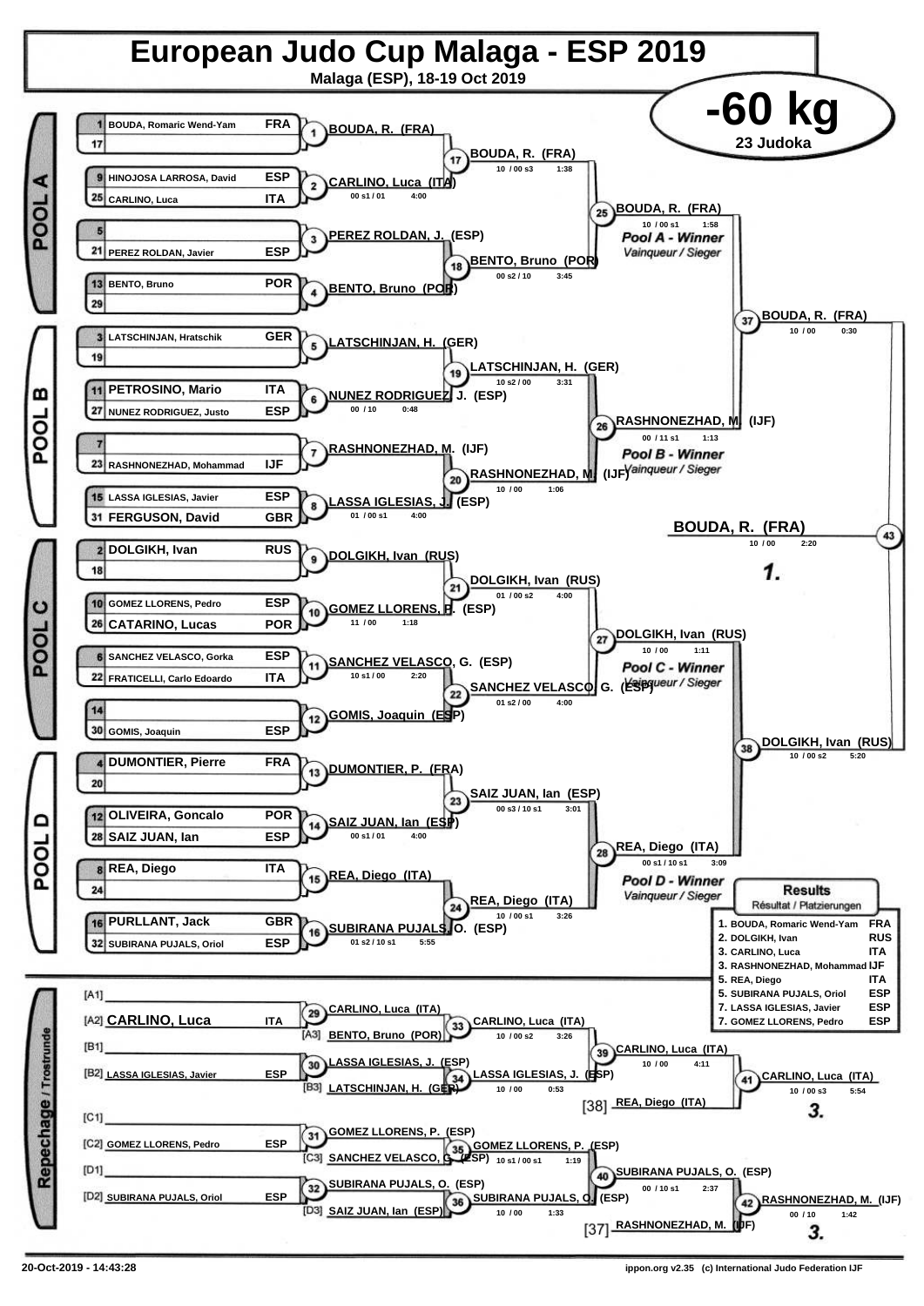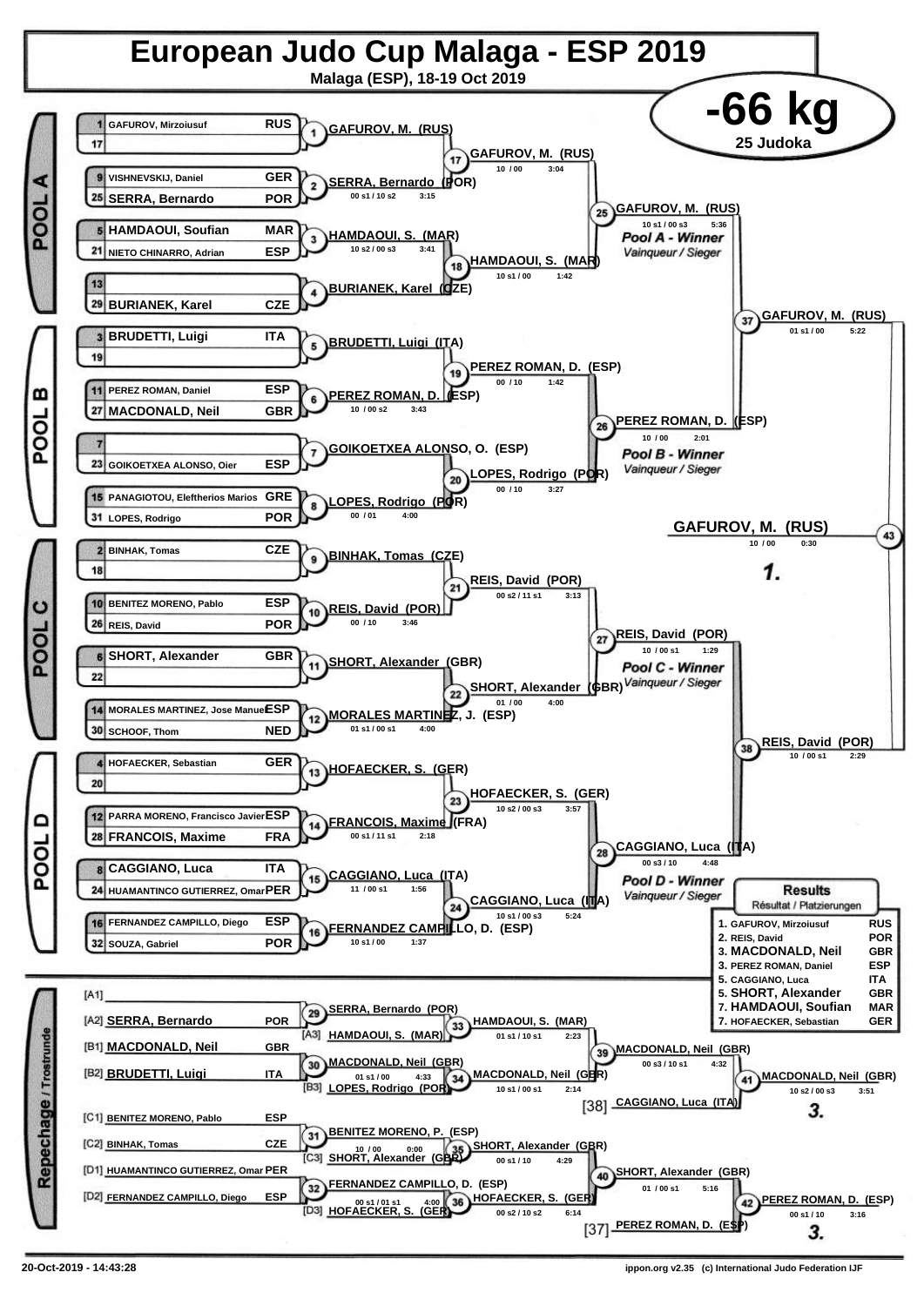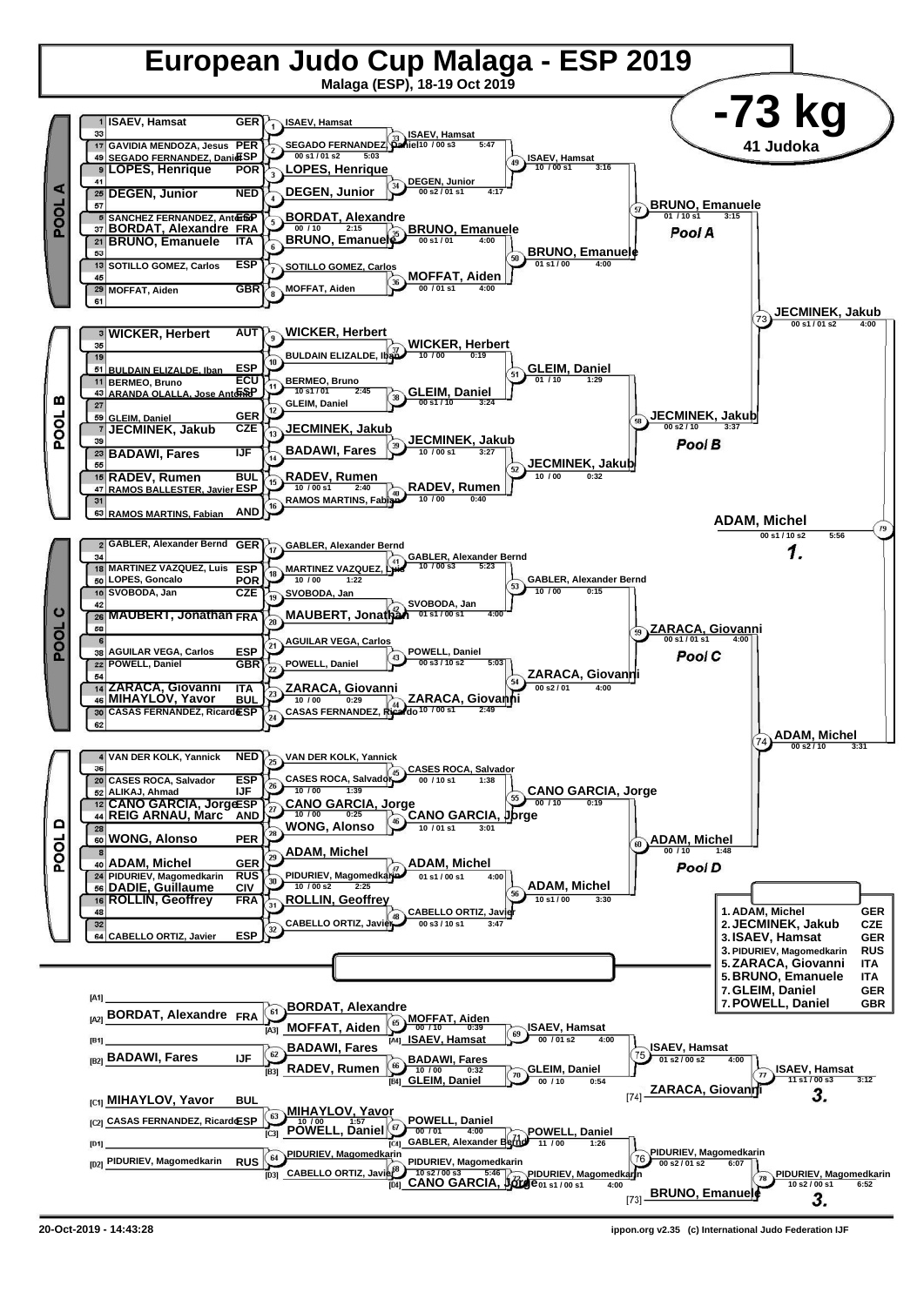

**<sup>20-</sup>Oct-2019 - 14:43:28 ippon.org v2.35 (c) International Judo Federation IJF**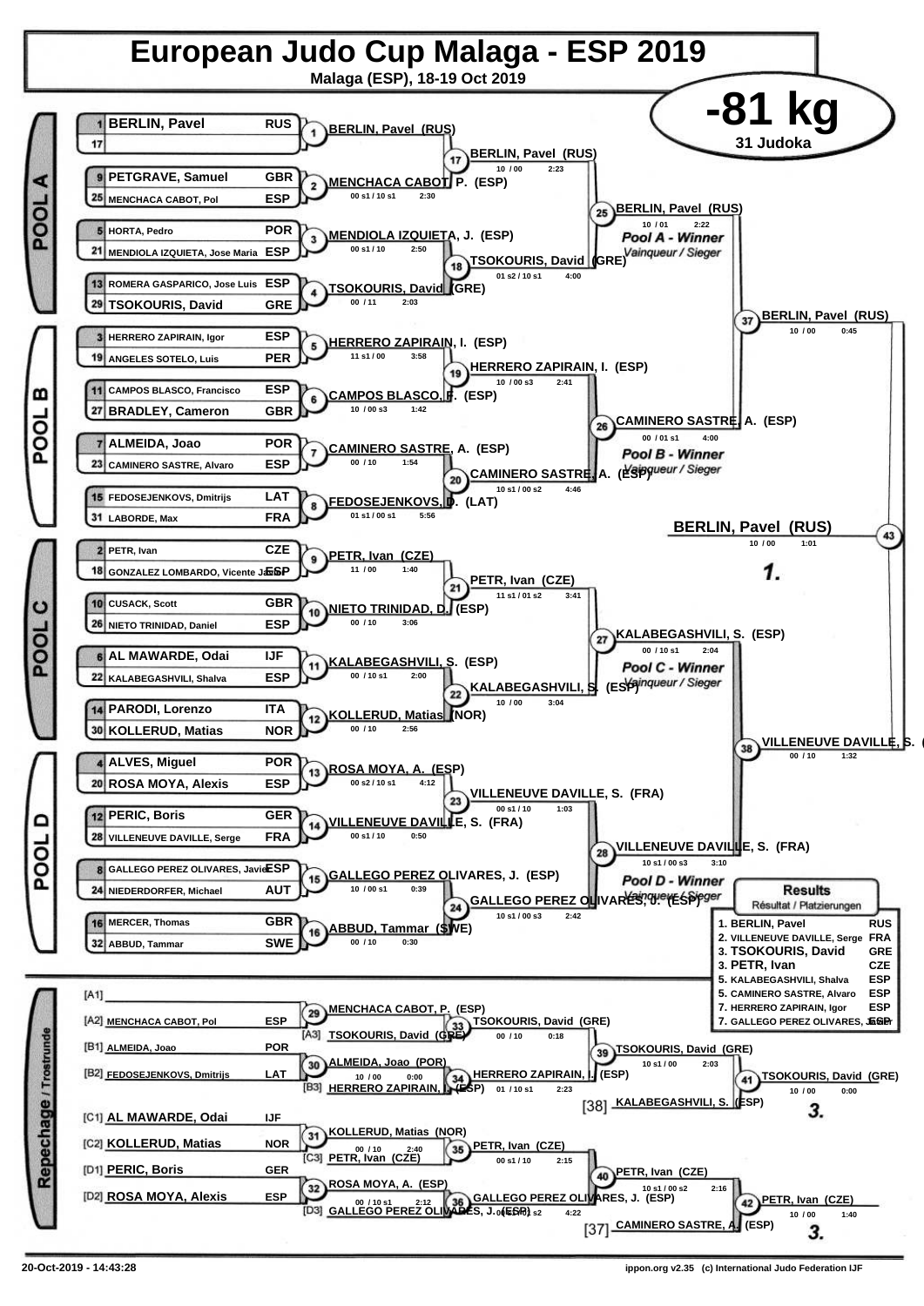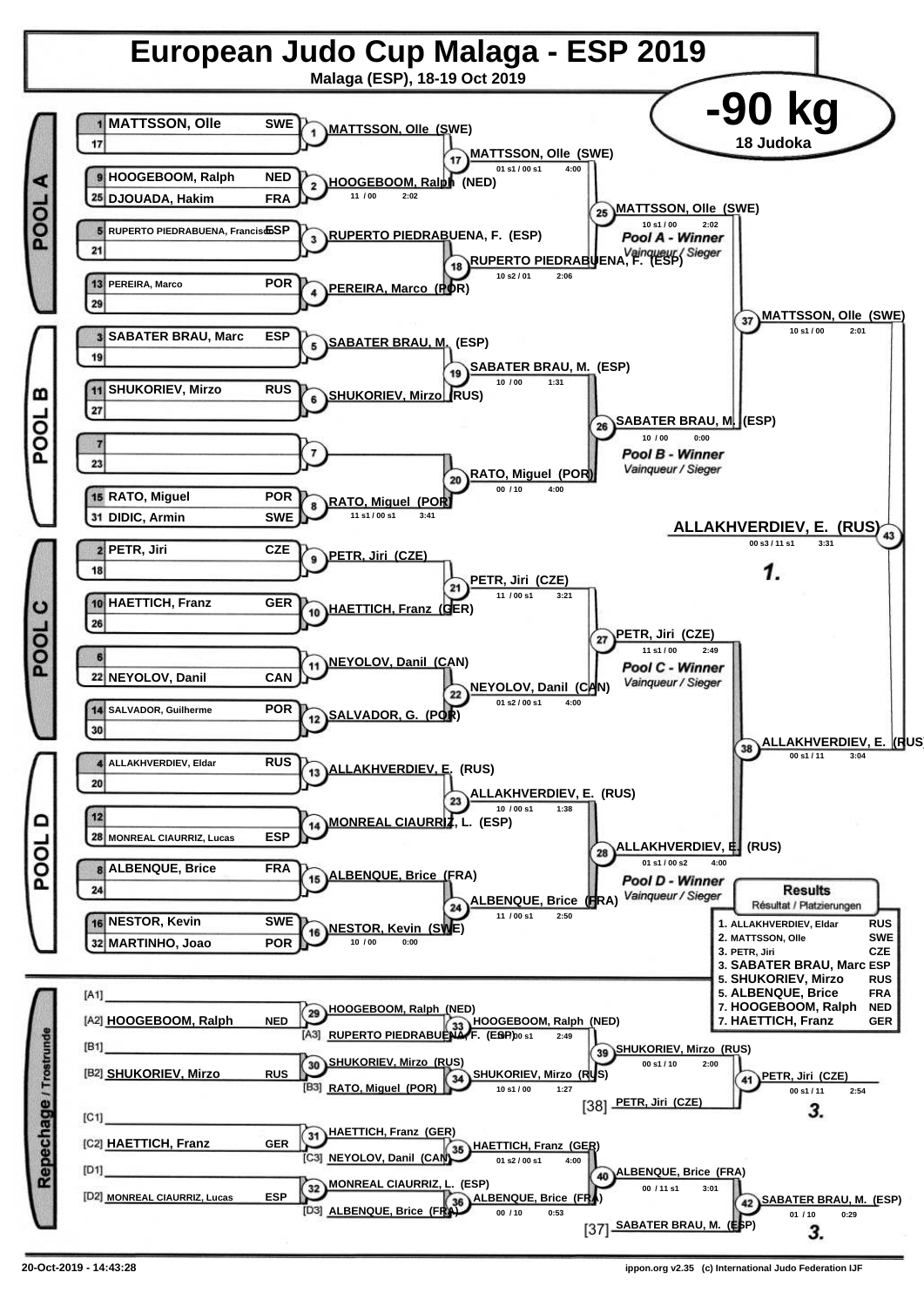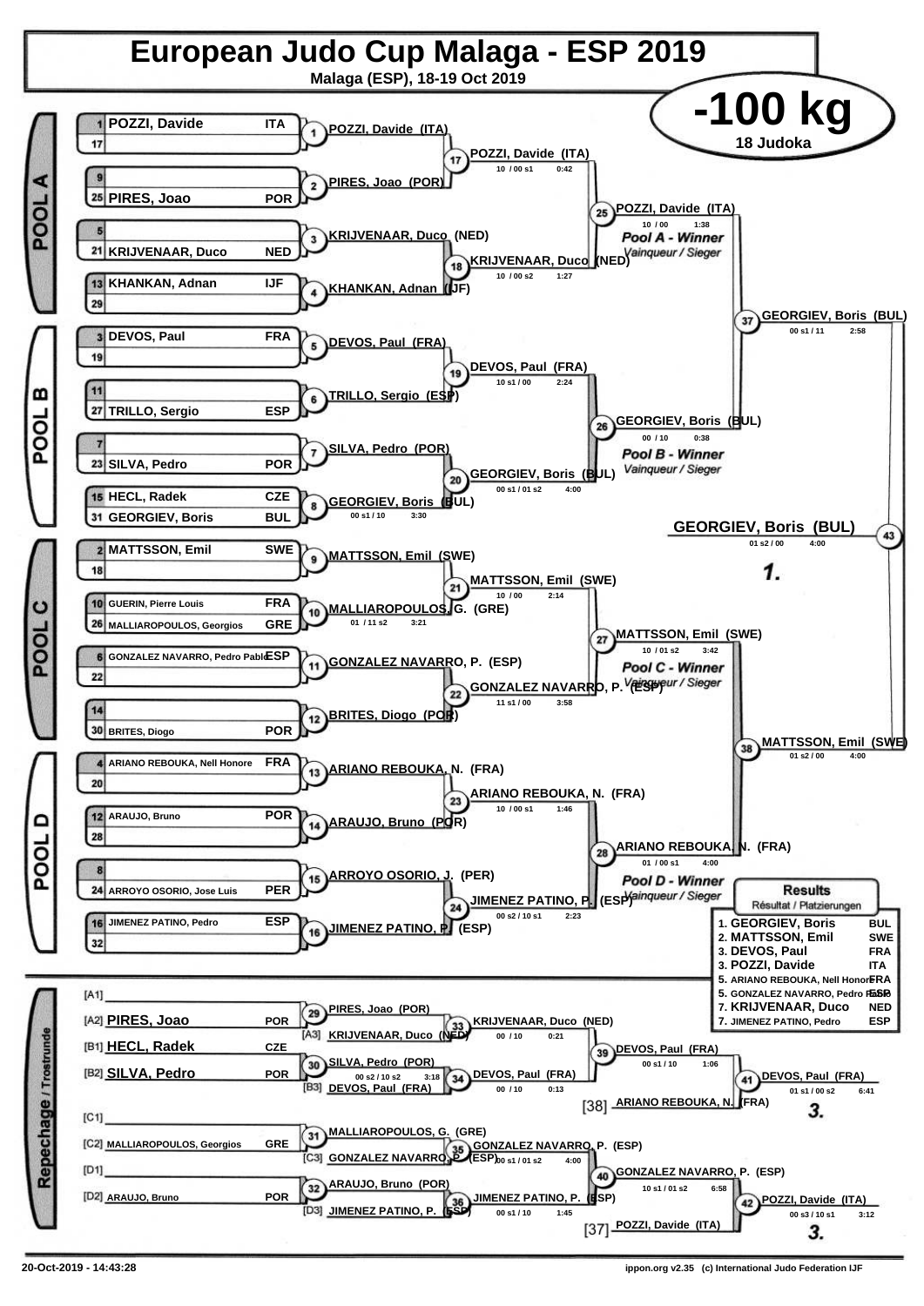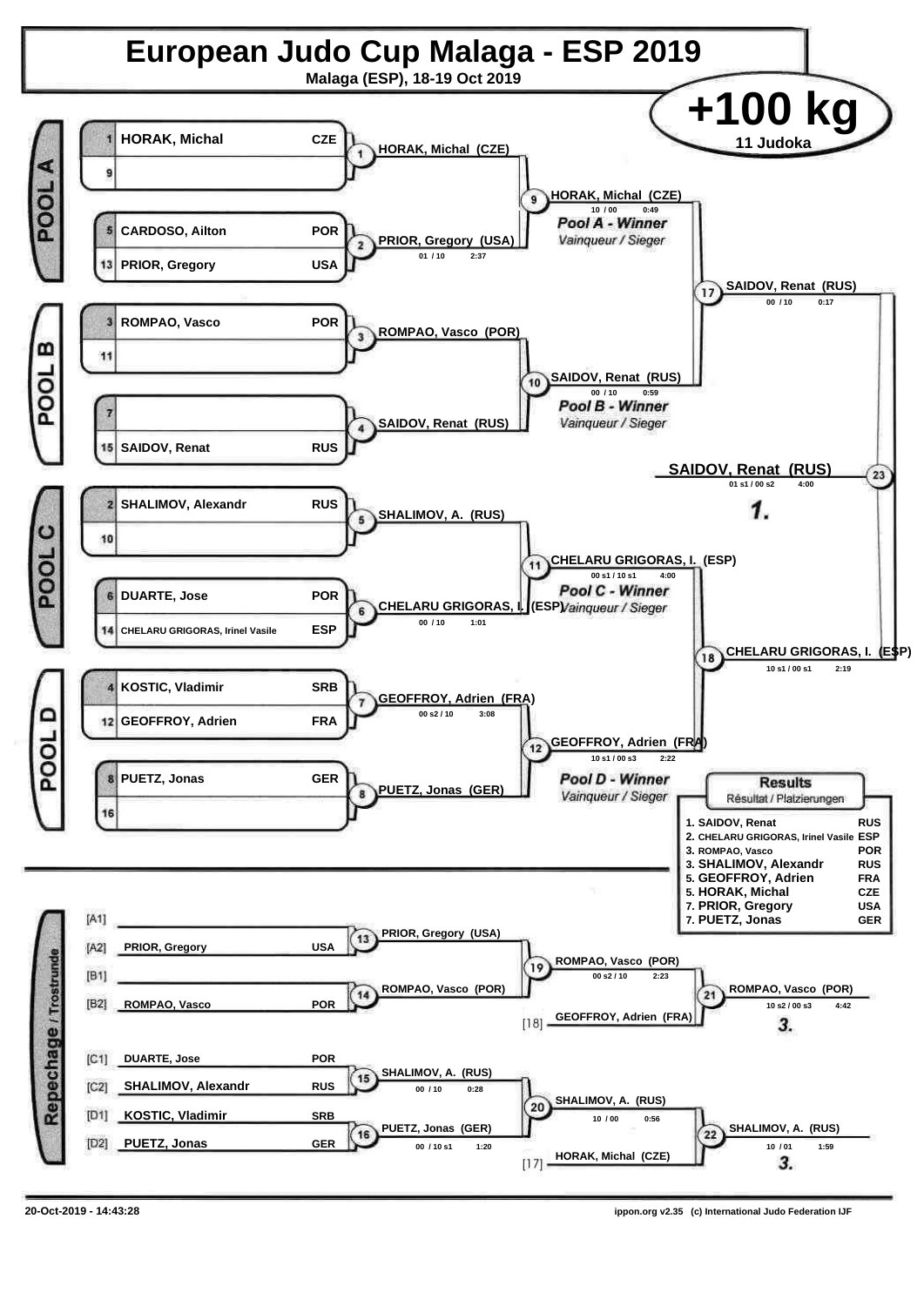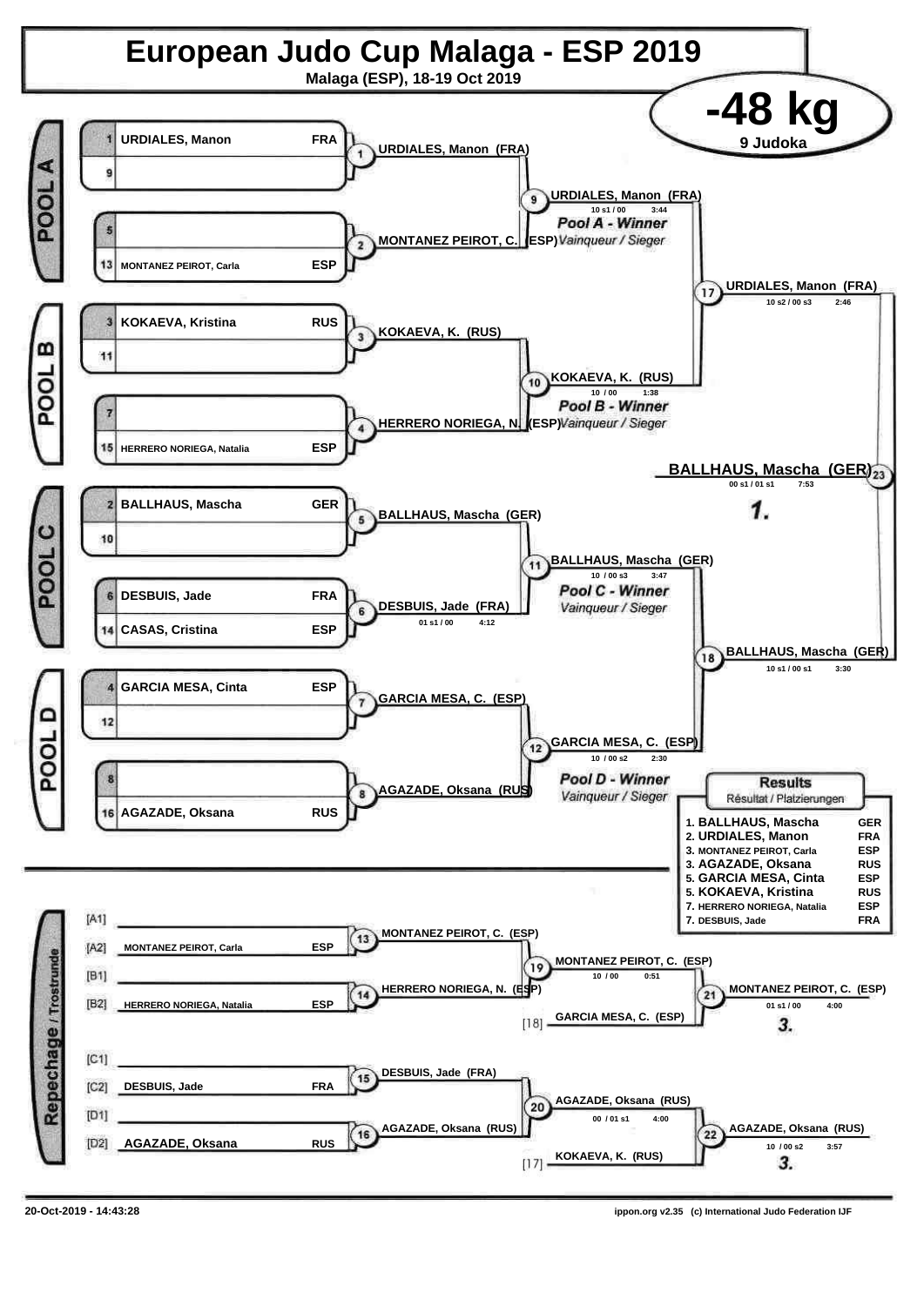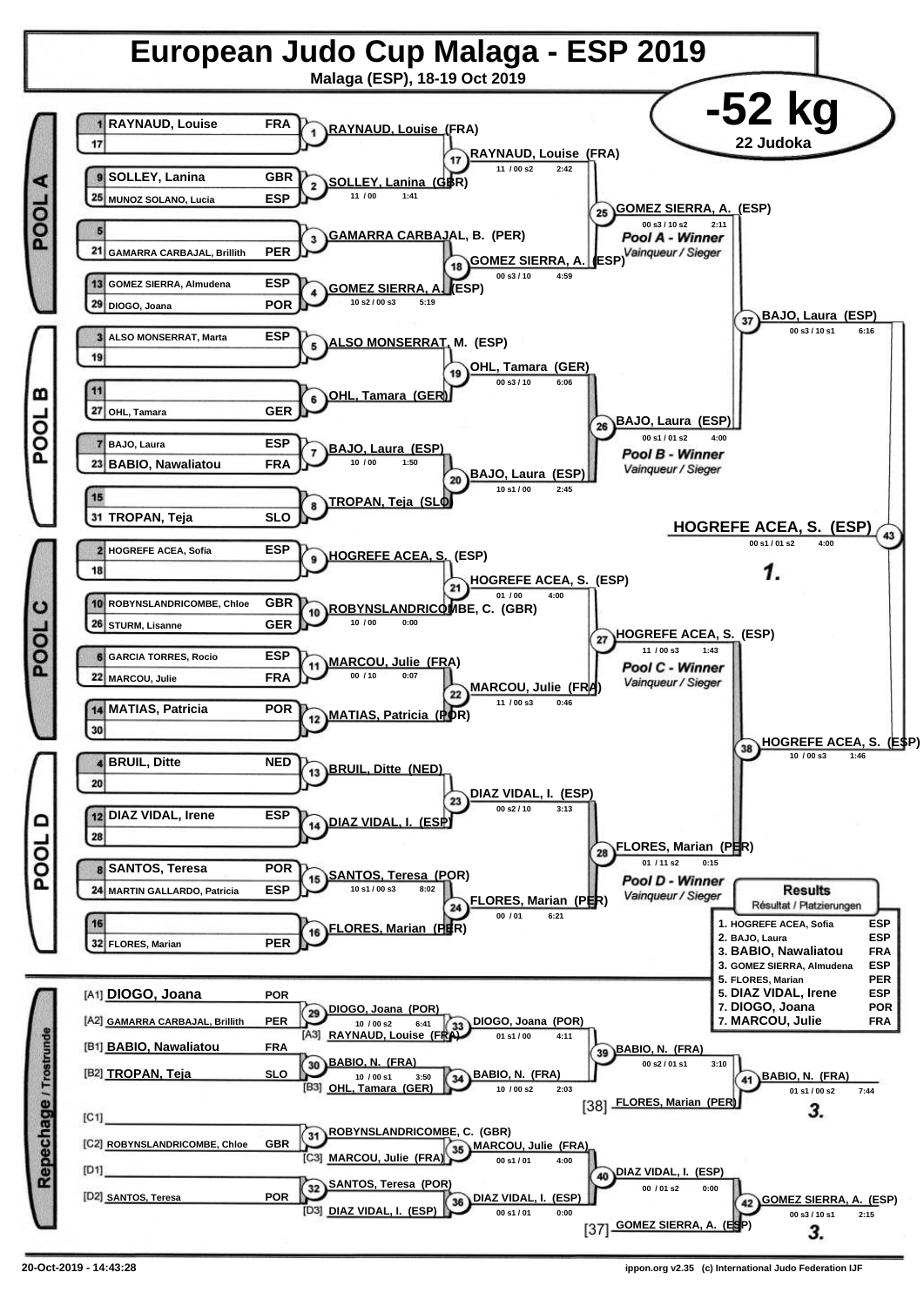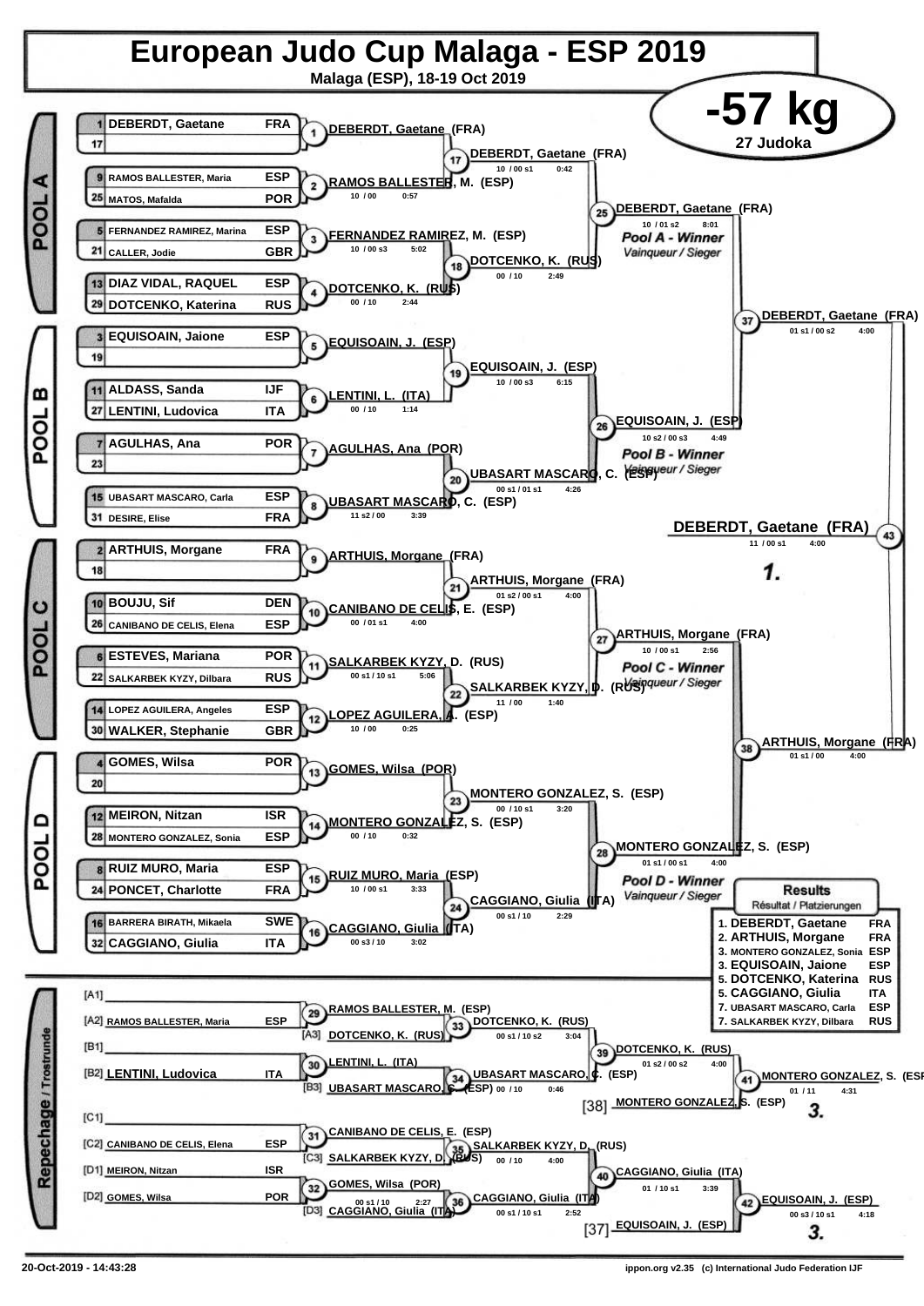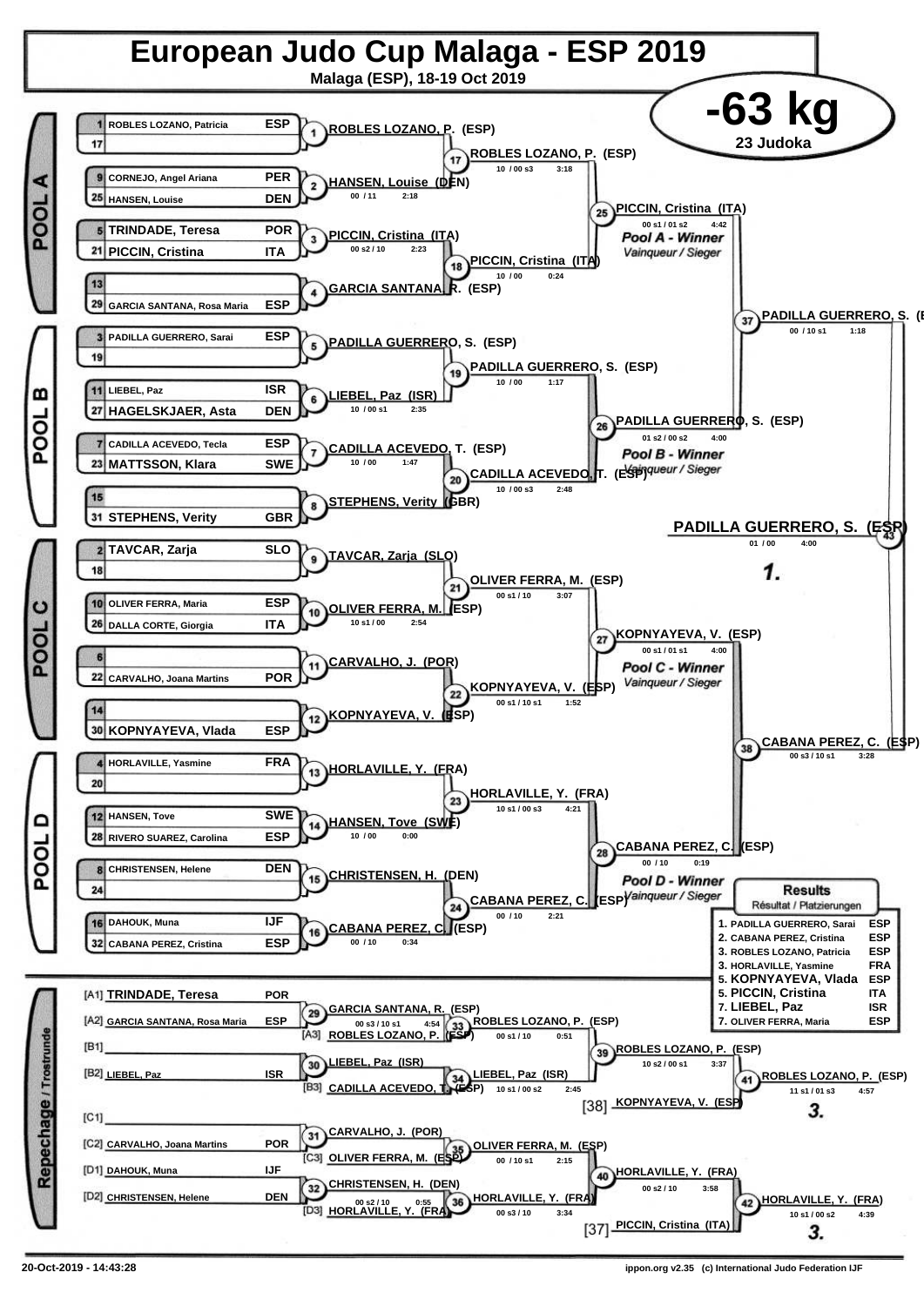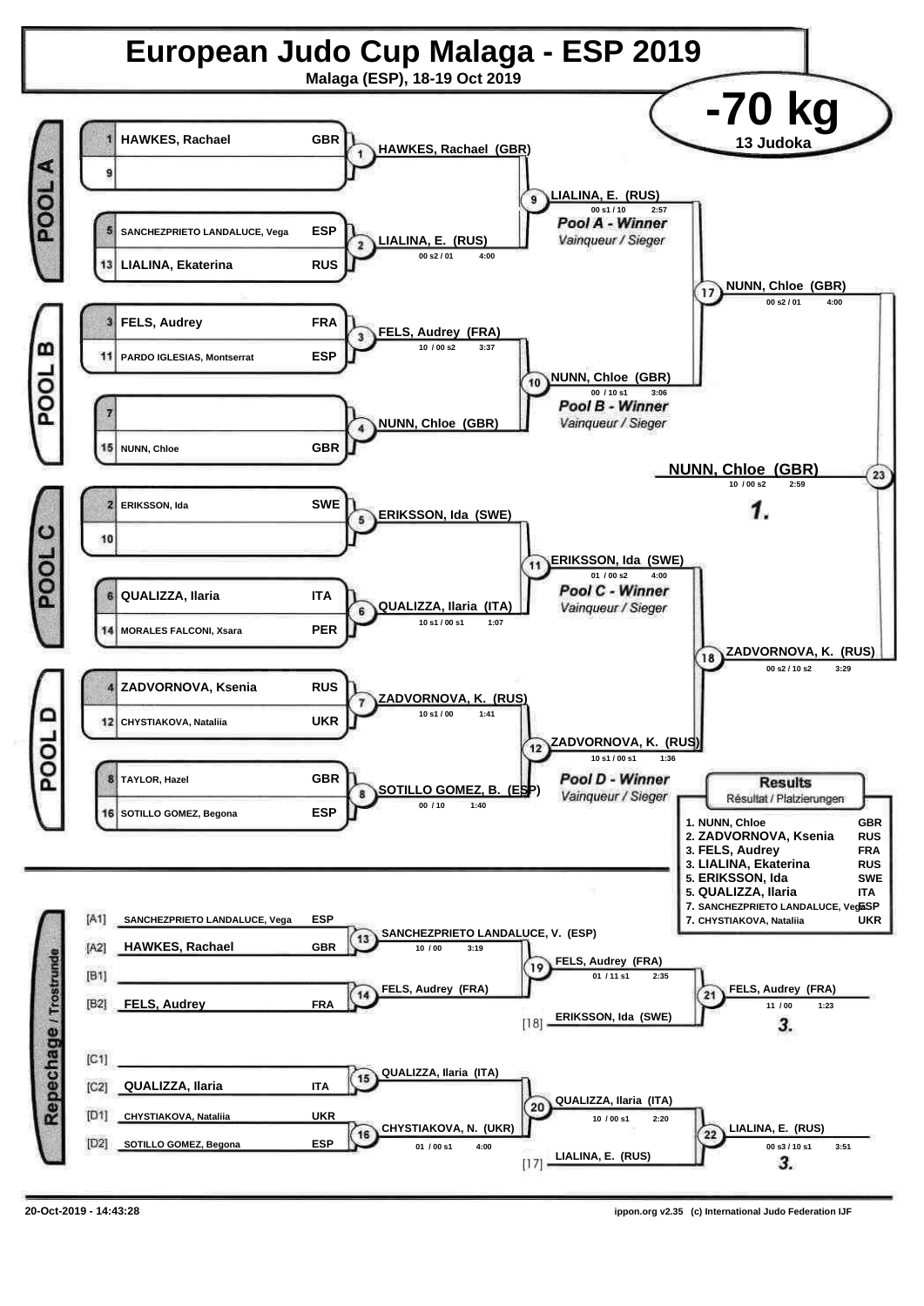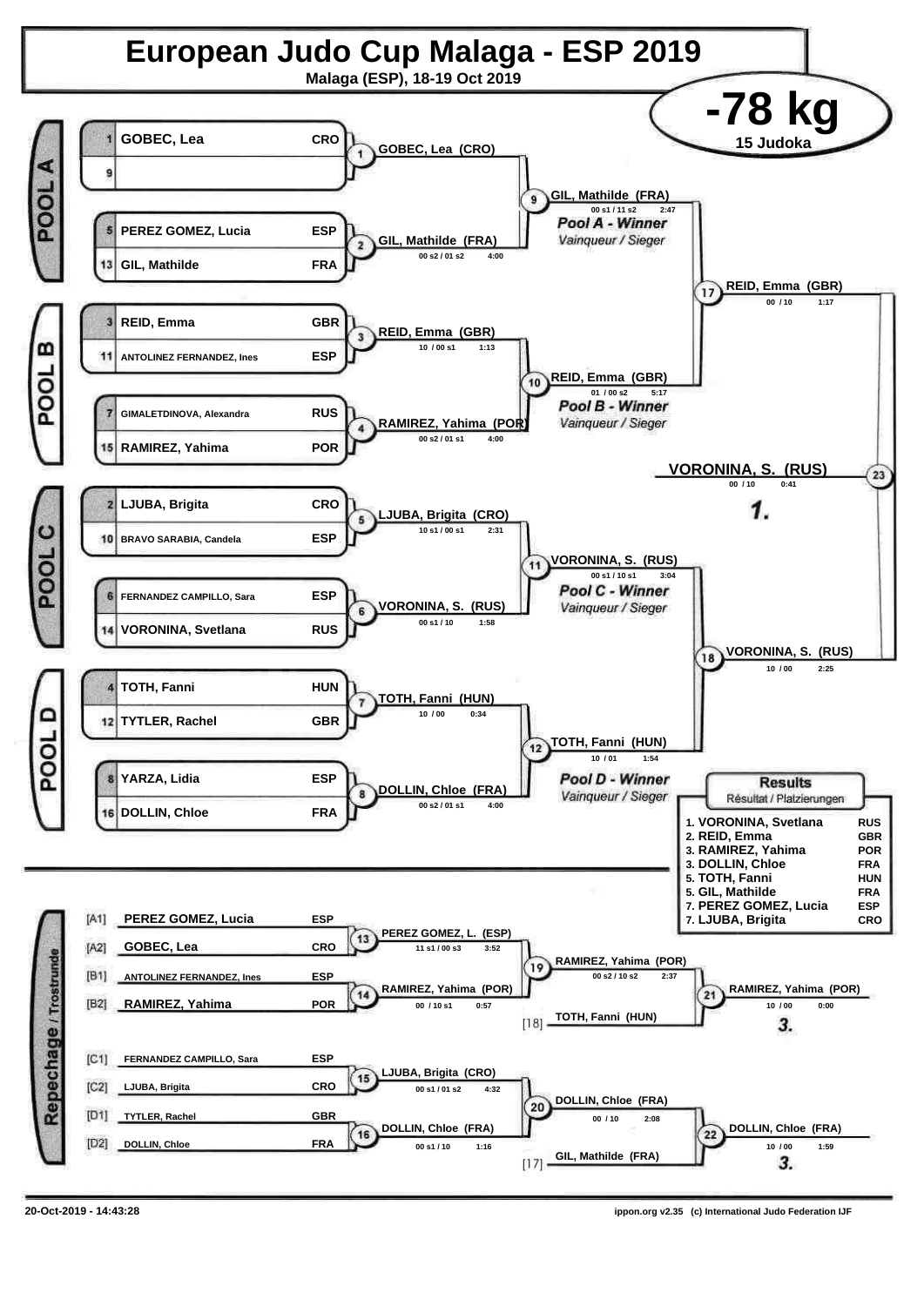